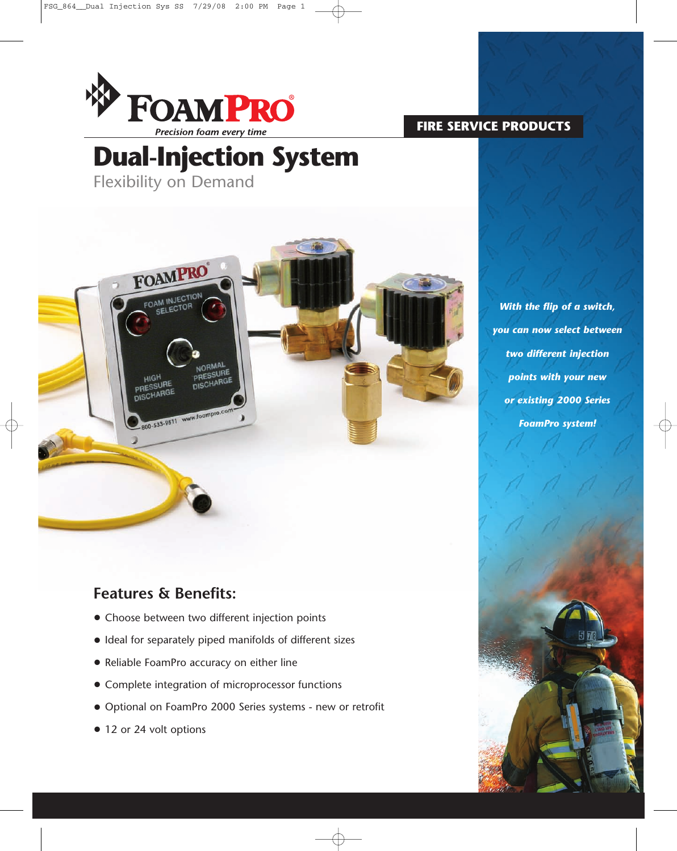

### **FIRE SERVICE PRODUCTS**

# **Dual-Injection System**

Flexibility on Demand



*With the flip of a switch, you can now select between two different injection points with your new or existing 2000 Series FoamPro system!*

# **Features & Benefits:**

- Choose between two different injection points
- Ideal for separately piped manifolds of different sizes
- Reliable FoamPro accuracy on either line
- Complete integration of microprocessor functions
- Optional on FoamPro 2000 Series systems new or retrofit
- 12 or 24 volt options